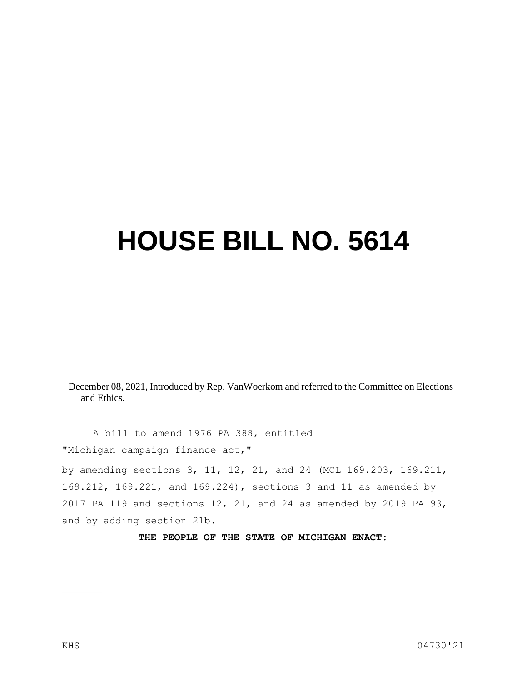## **HOUSE BILL NO. 5614**

December 08, 2021, Introduced by Rep. VanWoerkom and referred to the Committee on Elections and Ethics.

A bill to amend 1976 PA 388, entitled "Michigan campaign finance act,"

by amending sections 3, 11, 12, 21, and 24 (MCL 169.203, 169.211, 169.212, 169.221, and 169.224), sections 3 and 11 as amended by 2017 PA 119 and sections 12, 21, and 24 as amended by 2019 PA 93, and by adding section 21b.

**THE PEOPLE OF THE STATE OF MICHIGAN ENACT:**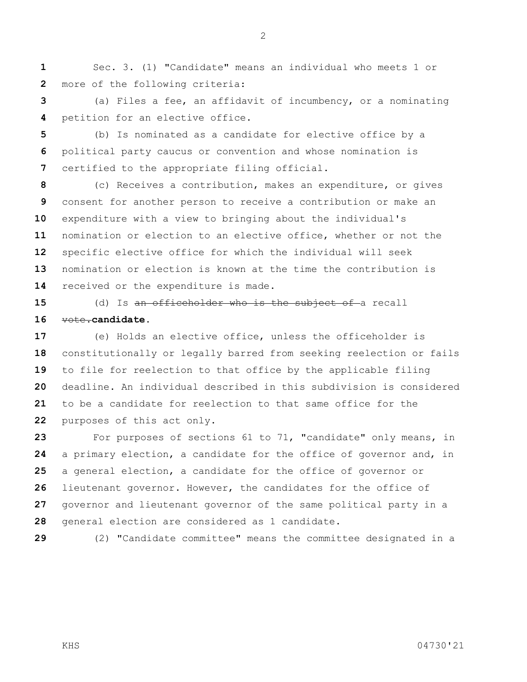Sec. 3. (1) "Candidate" means an individual who meets 1 or more of the following criteria:

 (a) Files a fee, an affidavit of incumbency, or a nominating petition for an elective office.

 (b) Is nominated as a candidate for elective office by a political party caucus or convention and whose nomination is certified to the appropriate filing official.

 (c) Receives a contribution, makes an expenditure, or gives consent for another person to receive a contribution or make an expenditure with a view to bringing about the individual's nomination or election to an elective office, whether or not the specific elective office for which the individual will seek nomination or election is known at the time the contribution is 14 received or the expenditure is made.

 (d) Is an officeholder who is the subject of a recall vote.**candidate.**

 (e) Holds an elective office, unless the officeholder is constitutionally or legally barred from seeking reelection or fails to file for reelection to that office by the applicable filing deadline. An individual described in this subdivision is considered to be a candidate for reelection to that same office for the purposes of this act only.

 For purposes of sections 61 to 71, "candidate" only means, in a primary election, a candidate for the office of governor and, in a general election, a candidate for the office of governor or lieutenant governor. However, the candidates for the office of governor and lieutenant governor of the same political party in a general election are considered as 1 candidate.

(2) "Candidate committee" means the committee designated in a

KHS 04730'21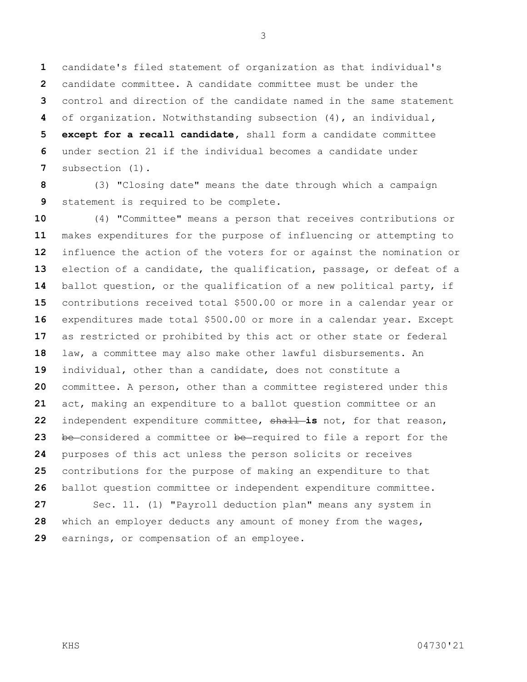candidate's filed statement of organization as that individual's candidate committee. A candidate committee must be under the control and direction of the candidate named in the same statement of organization. Notwithstanding subsection (4), an individual**, except for a recall candidate,** shall form a candidate committee under section 21 if the individual becomes a candidate under subsection (1).

 (3) "Closing date" means the date through which a campaign statement is required to be complete.

 (4) "Committee" means a person that receives contributions or makes expenditures for the purpose of influencing or attempting to influence the action of the voters for or against the nomination or election of a candidate, the qualification, passage, or defeat of a ballot question, or the qualification of a new political party, if contributions received total \$500.00 or more in a calendar year or expenditures made total \$500.00 or more in a calendar year. Except as restricted or prohibited by this act or other state or federal law, a committee may also make other lawful disbursements. An individual, other than a candidate, does not constitute a committee. A person, other than a committee registered under this act, making an expenditure to a ballot question committee or an independent expenditure committee, shall **is** not, for that reason, be considered a committee or be required to file a report for the purposes of this act unless the person solicits or receives contributions for the purpose of making an expenditure to that ballot question committee or independent expenditure committee. Sec. 11. (1) "Payroll deduction plan" means any system in which an employer deducts any amount of money from the wages, earnings, or compensation of an employee.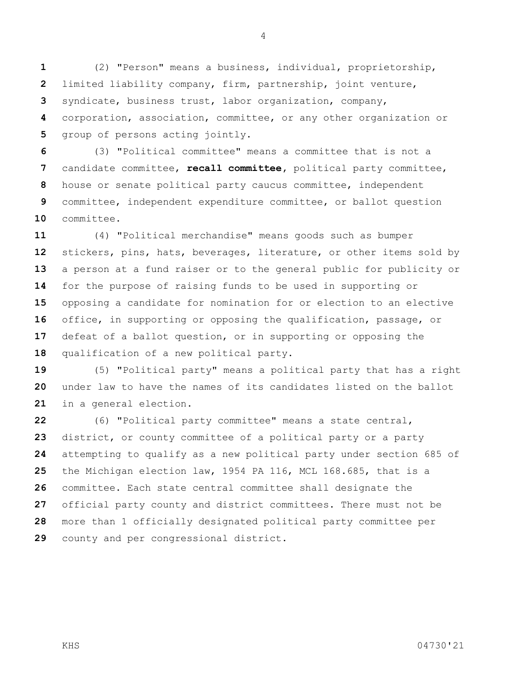(2) "Person" means a business, individual, proprietorship, limited liability company, firm, partnership, joint venture, syndicate, business trust, labor organization, company, corporation, association, committee, or any other organization or group of persons acting jointly.

 (3) "Political committee" means a committee that is not a candidate committee, **recall committee,** political party committee, house or senate political party caucus committee, independent committee, independent expenditure committee, or ballot question committee.

 (4) "Political merchandise" means goods such as bumper stickers, pins, hats, beverages, literature, or other items sold by a person at a fund raiser or to the general public for publicity or for the purpose of raising funds to be used in supporting or opposing a candidate for nomination for or election to an elective office, in supporting or opposing the qualification, passage, or defeat of a ballot question, or in supporting or opposing the qualification of a new political party.

 (5) "Political party" means a political party that has a right under law to have the names of its candidates listed on the ballot in a general election.

 (6) "Political party committee" means a state central, district, or county committee of a political party or a party attempting to qualify as a new political party under section 685 of the Michigan election law, 1954 PA 116, MCL 168.685, that is a committee. Each state central committee shall designate the official party county and district committees. There must not be more than 1 officially designated political party committee per county and per congressional district.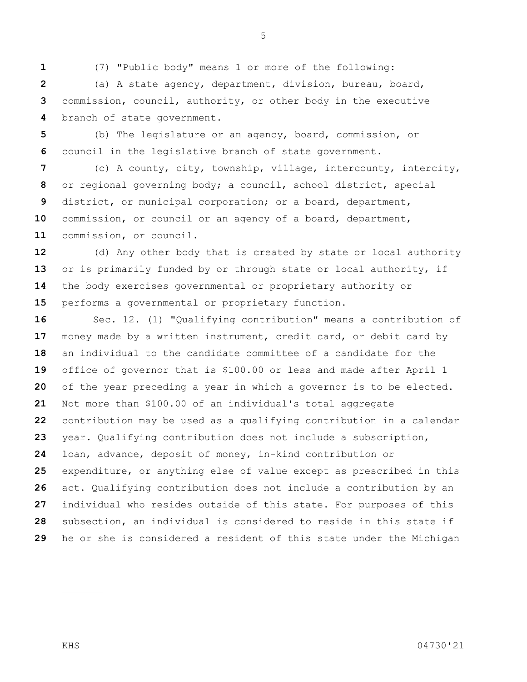(7) "Public body" means 1 or more of the following:

 (a) A state agency, department, division, bureau, board, commission, council, authority, or other body in the executive branch of state government.

 (b) The legislature or an agency, board, commission, or council in the legislative branch of state government.

 (c) A county, city, township, village, intercounty, intercity, or regional governing body; a council, school district, special district, or municipal corporation; or a board, department, commission, or council or an agency of a board, department, commission, or council.

 (d) Any other body that is created by state or local authority or is primarily funded by or through state or local authority, if the body exercises governmental or proprietary authority or performs a governmental or proprietary function.

 Sec. 12. (1) "Qualifying contribution" means a contribution of money made by a written instrument, credit card, or debit card by an individual to the candidate committee of a candidate for the office of governor that is \$100.00 or less and made after April 1 of the year preceding a year in which a governor is to be elected. Not more than \$100.00 of an individual's total aggregate contribution may be used as a qualifying contribution in a calendar year. Qualifying contribution does not include a subscription, loan, advance, deposit of money, in-kind contribution or expenditure, or anything else of value except as prescribed in this act. Qualifying contribution does not include a contribution by an individual who resides outside of this state. For purposes of this subsection, an individual is considered to reside in this state if he or she is considered a resident of this state under the Michigan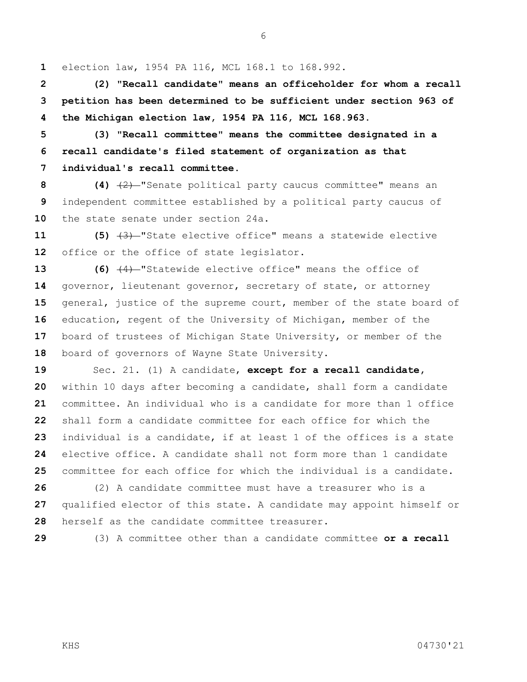election law, 1954 PA 116, MCL 168.1 to 168.992.

 **(2) "Recall candidate" means an officeholder for whom a recall petition has been determined to be sufficient under section 963 of the Michigan election law, 1954 PA 116, MCL 168.963.**

 **(3) "Recall committee" means the committee designated in a recall candidate's filed statement of organization as that individual's recall committee.**

 **(4)** (2) "Senate political party caucus committee" means an independent committee established by a political party caucus of the state senate under section 24a.

 **(5)** (3) "State elective office" means a statewide elective office or the office of state legislator.

 **(6)** (4) "Statewide elective office" means the office of governor, lieutenant governor, secretary of state, or attorney general, justice of the supreme court, member of the state board of education, regent of the University of Michigan, member of the board of trustees of Michigan State University, or member of the board of governors of Wayne State University.

 Sec. 21. (1) A candidate, **except for a recall candidate,**  within 10 days after becoming a candidate, shall form a candidate committee. An individual who is a candidate for more than 1 office shall form a candidate committee for each office for which the individual is a candidate, if at least 1 of the offices is a state elective office. A candidate shall not form more than 1 candidate committee for each office for which the individual is a candidate.

 (2) A candidate committee must have a treasurer who is a qualified elector of this state. A candidate may appoint himself or herself as the candidate committee treasurer.

(3) A committee other than a candidate committee **or a recall**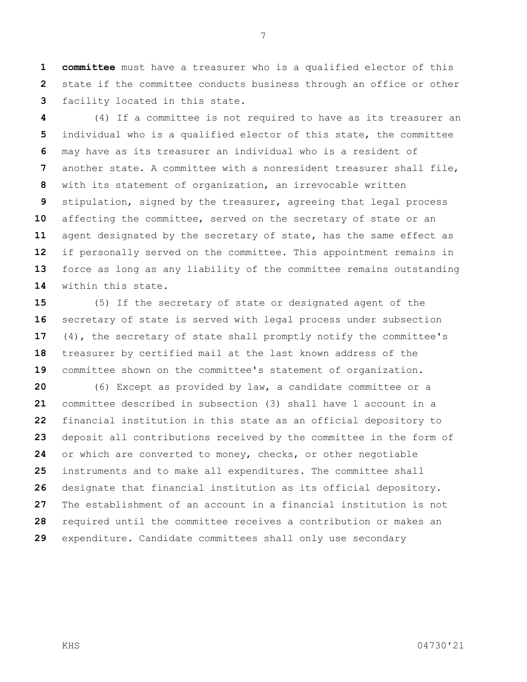**committee** must have a treasurer who is a qualified elector of this state if the committee conducts business through an office or other facility located in this state.

 (4) If a committee is not required to have as its treasurer an individual who is a qualified elector of this state, the committee may have as its treasurer an individual who is a resident of another state. A committee with a nonresident treasurer shall file, with its statement of organization, an irrevocable written stipulation, signed by the treasurer, agreeing that legal process affecting the committee, served on the secretary of state or an agent designated by the secretary of state, has the same effect as if personally served on the committee. This appointment remains in force as long as any liability of the committee remains outstanding within this state.

 (5) If the secretary of state or designated agent of the secretary of state is served with legal process under subsection (4), the secretary of state shall promptly notify the committee's treasurer by certified mail at the last known address of the committee shown on the committee's statement of organization.

 (6) Except as provided by law, a candidate committee or a committee described in subsection (3) shall have 1 account in a financial institution in this state as an official depository to deposit all contributions received by the committee in the form of or which are converted to money, checks, or other negotiable instruments and to make all expenditures. The committee shall designate that financial institution as its official depository. The establishment of an account in a financial institution is not required until the committee receives a contribution or makes an expenditure. Candidate committees shall only use secondary

KHS 04730'21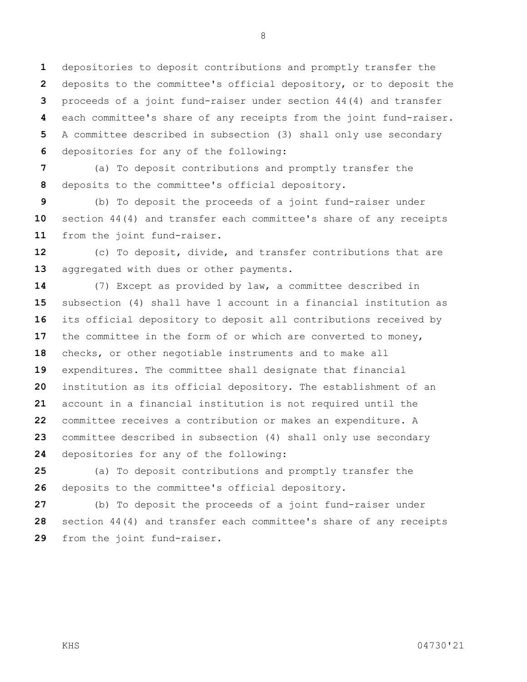depositories to deposit contributions and promptly transfer the deposits to the committee's official depository, or to deposit the proceeds of a joint fund-raiser under section 44(4) and transfer each committee's share of any receipts from the joint fund-raiser. A committee described in subsection (3) shall only use secondary depositories for any of the following:

 (a) To deposit contributions and promptly transfer the deposits to the committee's official depository.

 (b) To deposit the proceeds of a joint fund-raiser under section 44(4) and transfer each committee's share of any receipts from the joint fund-raiser.

 (c) To deposit, divide, and transfer contributions that are aggregated with dues or other payments.

 (7) Except as provided by law, a committee described in subsection (4) shall have 1 account in a financial institution as its official depository to deposit all contributions received by the committee in the form of or which are converted to money, checks, or other negotiable instruments and to make all expenditures. The committee shall designate that financial institution as its official depository. The establishment of an account in a financial institution is not required until the committee receives a contribution or makes an expenditure. A committee described in subsection (4) shall only use secondary depositories for any of the following:

 (a) To deposit contributions and promptly transfer the deposits to the committee's official depository.

 (b) To deposit the proceeds of a joint fund-raiser under section 44(4) and transfer each committee's share of any receipts from the joint fund-raiser.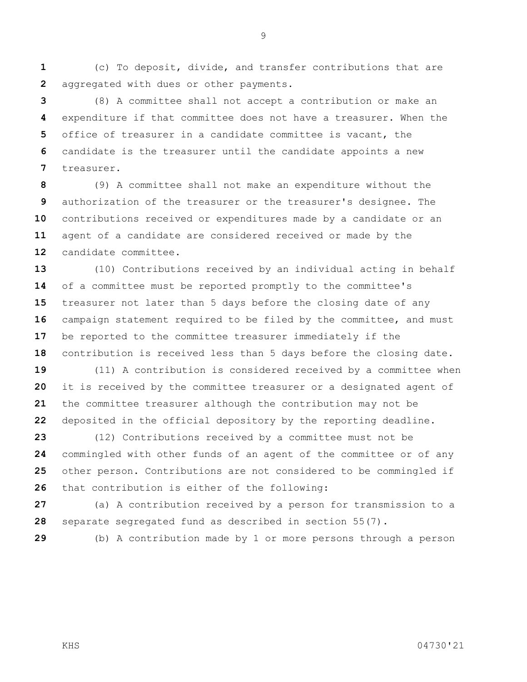(c) To deposit, divide, and transfer contributions that are aggregated with dues or other payments.

 (8) A committee shall not accept a contribution or make an expenditure if that committee does not have a treasurer. When the office of treasurer in a candidate committee is vacant, the candidate is the treasurer until the candidate appoints a new treasurer.

 (9) A committee shall not make an expenditure without the authorization of the treasurer or the treasurer's designee. The contributions received or expenditures made by a candidate or an agent of a candidate are considered received or made by the candidate committee.

 (10) Contributions received by an individual acting in behalf of a committee must be reported promptly to the committee's treasurer not later than 5 days before the closing date of any campaign statement required to be filed by the committee, and must be reported to the committee treasurer immediately if the contribution is received less than 5 days before the closing date.

 (11) A contribution is considered received by a committee when it is received by the committee treasurer or a designated agent of the committee treasurer although the contribution may not be deposited in the official depository by the reporting deadline.

 (12) Contributions received by a committee must not be commingled with other funds of an agent of the committee or of any other person. Contributions are not considered to be commingled if that contribution is either of the following:

 (a) A contribution received by a person for transmission to a separate segregated fund as described in section 55(7).

(b) A contribution made by 1 or more persons through a person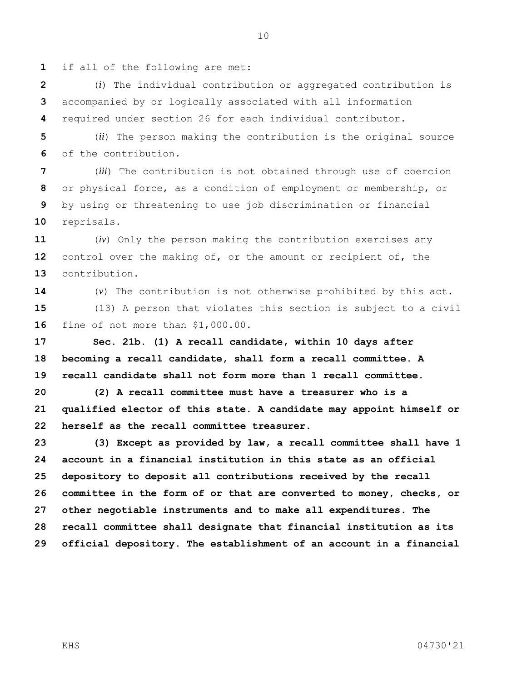if all of the following are met:

 (*i*) The individual contribution or aggregated contribution is accompanied by or logically associated with all information required under section 26 for each individual contributor.

 (*ii*) The person making the contribution is the original source of the contribution.

 (*iii*) The contribution is not obtained through use of coercion or physical force, as a condition of employment or membership, or by using or threatening to use job discrimination or financial reprisals.

 (*iv*) Only the person making the contribution exercises any control over the making of, or the amount or recipient of, the contribution.

 (*v*) The contribution is not otherwise prohibited by this act. (13) A person that violates this section is subject to a civil fine of not more than \$1,000.00.

 **Sec. 21b. (1) A recall candidate, within 10 days after becoming a recall candidate, shall form a recall committee. A recall candidate shall not form more than 1 recall committee.**

 **(2) A recall committee must have a treasurer who is a qualified elector of this state. A candidate may appoint himself or herself as the recall committee treasurer.**

 **(3) Except as provided by law, a recall committee shall have 1 account in a financial institution in this state as an official depository to deposit all contributions received by the recall committee in the form of or that are converted to money, checks, or other negotiable instruments and to make all expenditures. The recall committee shall designate that financial institution as its official depository. The establishment of an account in a financial**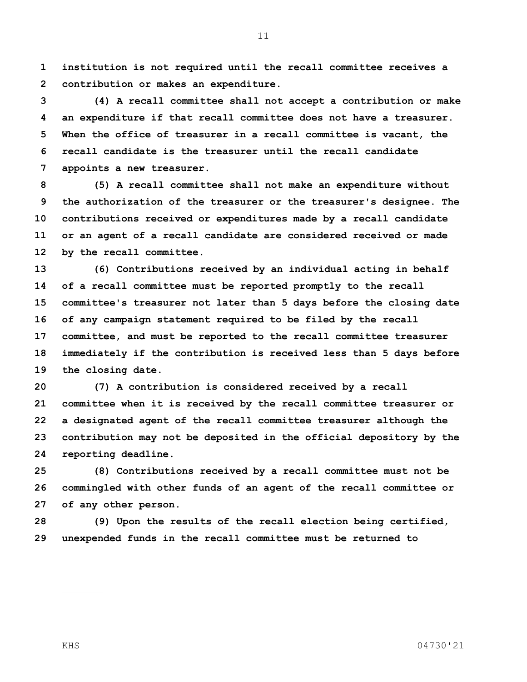**institution is not required until the recall committee receives a contribution or makes an expenditure.**

 **(4) A recall committee shall not accept a contribution or make an expenditure if that recall committee does not have a treasurer. When the office of treasurer in a recall committee is vacant, the recall candidate is the treasurer until the recall candidate appoints a new treasurer.**

 **(5) A recall committee shall not make an expenditure without the authorization of the treasurer or the treasurer's designee. The contributions received or expenditures made by a recall candidate or an agent of a recall candidate are considered received or made by the recall committee.**

 **(6) Contributions received by an individual acting in behalf of a recall committee must be reported promptly to the recall committee's treasurer not later than 5 days before the closing date of any campaign statement required to be filed by the recall committee, and must be reported to the recall committee treasurer immediately if the contribution is received less than 5 days before the closing date.**

 **(7) A contribution is considered received by a recall committee when it is received by the recall committee treasurer or a designated agent of the recall committee treasurer although the contribution may not be deposited in the official depository by the reporting deadline.**

 **(8) Contributions received by a recall committee must not be commingled with other funds of an agent of the recall committee or of any other person.**

 **(9) Upon the results of the recall election being certified, unexpended funds in the recall committee must be returned to**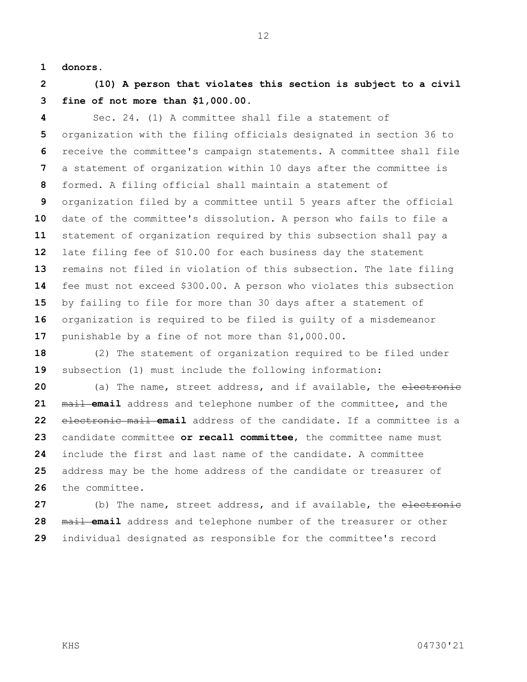**donors.**

 **(10) A person that violates this section is subject to a civil fine of not more than \$1,000.00.**

 Sec. 24. (1) A committee shall file a statement of organization with the filing officials designated in section 36 to receive the committee's campaign statements. A committee shall file a statement of organization within 10 days after the committee is formed. A filing official shall maintain a statement of organization filed by a committee until 5 years after the official date of the committee's dissolution. A person who fails to file a statement of organization required by this subsection shall pay a late filing fee of \$10.00 for each business day the statement remains not filed in violation of this subsection. The late filing fee must not exceed \$300.00. A person who violates this subsection by failing to file for more than 30 days after a statement of organization is required to be filed is guilty of a misdemeanor punishable by a fine of not more than \$1,000.00.

 (2) The statement of organization required to be filed under subsection (1) must include the following information:

 (a) The name, street address, and if available, the electronic mail **email** address and telephone number of the committee, and the electronic mail **email** address of the candidate. If a committee is a candidate committee **or recall committee**, the committee name must include the first and last name of the candidate. A committee address may be the home address of the candidate or treasurer of the committee.

27 (b) The name, street address, and if available, the electronic mail **email** address and telephone number of the treasurer or other individual designated as responsible for the committee's record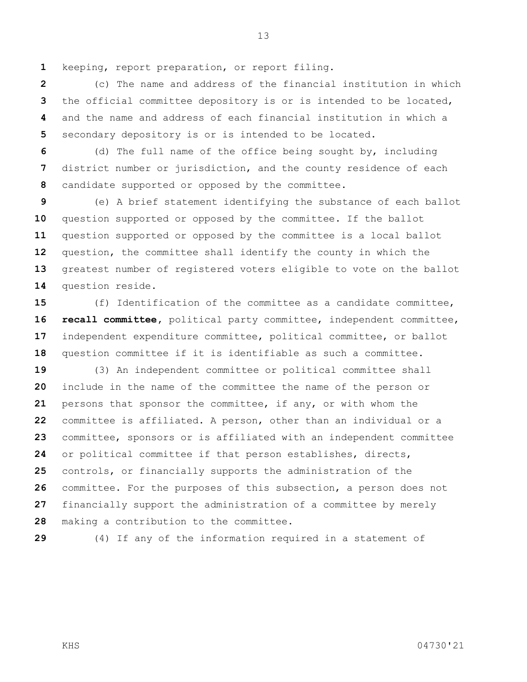keeping, report preparation, or report filing.

 (c) The name and address of the financial institution in which the official committee depository is or is intended to be located, and the name and address of each financial institution in which a secondary depository is or is intended to be located.

 (d) The full name of the office being sought by, including district number or jurisdiction, and the county residence of each candidate supported or opposed by the committee.

 (e) A brief statement identifying the substance of each ballot question supported or opposed by the committee. If the ballot question supported or opposed by the committee is a local ballot question, the committee shall identify the county in which the greatest number of registered voters eligible to vote on the ballot question reside.

 (f) Identification of the committee as a candidate committee, **recall committee,** political party committee, independent committee, independent expenditure committee, political committee, or ballot question committee if it is identifiable as such a committee.

 (3) An independent committee or political committee shall include in the name of the committee the name of the person or persons that sponsor the committee, if any, or with whom the committee is affiliated. A person, other than an individual or a committee, sponsors or is affiliated with an independent committee or political committee if that person establishes, directs, controls, or financially supports the administration of the committee. For the purposes of this subsection, a person does not financially support the administration of a committee by merely making a contribution to the committee.

(4) If any of the information required in a statement of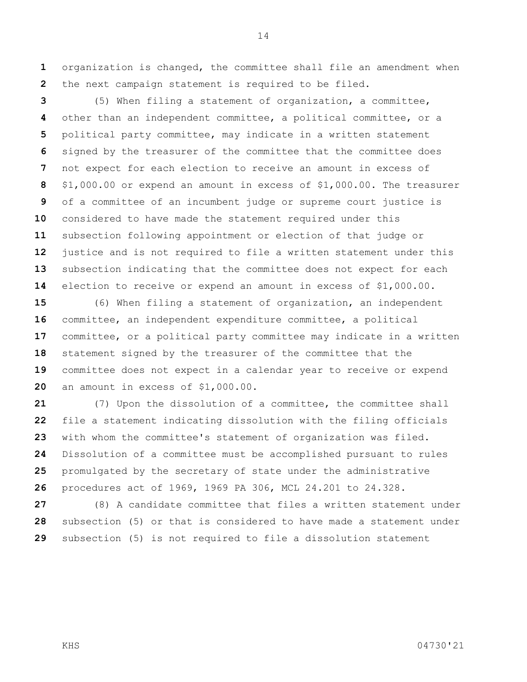organization is changed, the committee shall file an amendment when the next campaign statement is required to be filed.

 (5) When filing a statement of organization, a committee, other than an independent committee, a political committee, or a political party committee, may indicate in a written statement signed by the treasurer of the committee that the committee does not expect for each election to receive an amount in excess of \$1,000.00 or expend an amount in excess of \$1,000.00. The treasurer of a committee of an incumbent judge or supreme court justice is considered to have made the statement required under this subsection following appointment or election of that judge or justice and is not required to file a written statement under this subsection indicating that the committee does not expect for each election to receive or expend an amount in excess of \$1,000.00.

 (6) When filing a statement of organization, an independent committee, an independent expenditure committee, a political committee, or a political party committee may indicate in a written statement signed by the treasurer of the committee that the committee does not expect in a calendar year to receive or expend an amount in excess of \$1,000.00.

 (7) Upon the dissolution of a committee, the committee shall file a statement indicating dissolution with the filing officials with whom the committee's statement of organization was filed. Dissolution of a committee must be accomplished pursuant to rules promulgated by the secretary of state under the administrative procedures act of 1969, 1969 PA 306, MCL 24.201 to 24.328.

 (8) A candidate committee that files a written statement under subsection (5) or that is considered to have made a statement under subsection (5) is not required to file a dissolution statement

KHS 04730'21